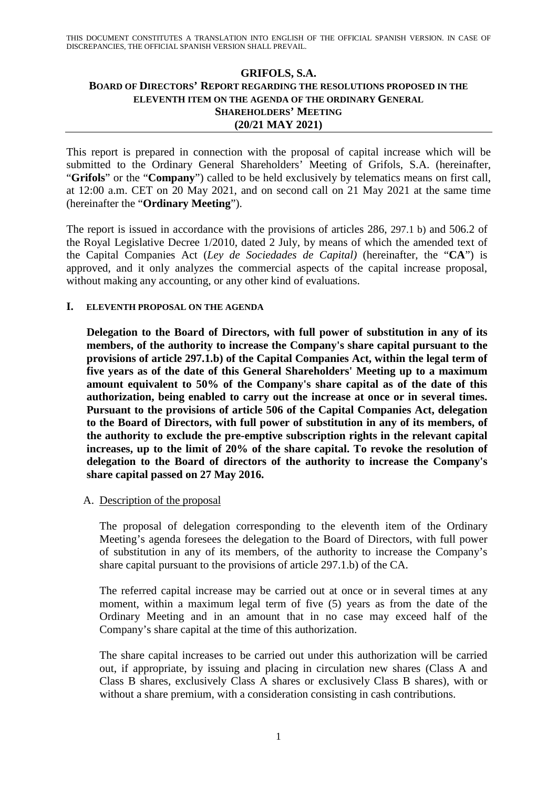# **GRIFOLS, S.A. BOARD OF DIRECTORS' REPORT REGARDING THE RESOLUTIONS PROPOSED IN THE ELEVENTH ITEM ON THE AGENDA OF THE ORDINARY GENERAL SHAREHOLDERS' MEETING (20/21 MAY 2021)**

This report is prepared in connection with the proposal of capital increase which will be submitted to the Ordinary General Shareholders' Meeting of Grifols, S.A. (hereinafter, "**Grifols**" or the "**Company**") called to be held exclusively by telematics means on first call, at 12:00 a.m. CET on 20 May 2021, and on second call on 21 May 2021 at the same time (hereinafter the "**Ordinary Meeting**").

The report is issued in accordance with the provisions of articles 286, 297.1 b) and 506.2 of the Royal Legislative Decree 1/2010, dated 2 July, by means of which the amended text of the Capital Companies Act (*Ley de Sociedades de Capital)* (hereinafter, the "**CA**") is approved, and it only analyzes the commercial aspects of the capital increase proposal, without making any accounting, or any other kind of evaluations.

### **I. ELEVENTH PROPOSAL ON THE AGENDA**

**Delegation to the Board of Directors, with full power of substitution in any of its members, of the authority to increase the Company's share capital pursuant to the provisions of article 297.1.b) of the Capital Companies Act, within the legal term of five years as of the date of this General Shareholders' Meeting up to a maximum amount equivalent to 50% of the Company's share capital as of the date of this authorization, being enabled to carry out the increase at once or in several times. Pursuant to the provisions of article 506 of the Capital Companies Act, delegation to the Board of Directors, with full power of substitution in any of its members, of the authority to exclude the pre-emptive subscription rights in the relevant capital increases, up to the limit of 20% of the share capital. To revoke the resolution of delegation to the Board of directors of the authority to increase the Company's share capital passed on 27 May 2016.** 

### A. Description of the proposal

The proposal of delegation corresponding to the eleventh item of the Ordinary Meeting's agenda foresees the delegation to the Board of Directors, with full power of substitution in any of its members, of the authority to increase the Company's share capital pursuant to the provisions of article 297.1.b) of the CA.

The referred capital increase may be carried out at once or in several times at any moment, within a maximum legal term of five (5) years as from the date of the Ordinary Meeting and in an amount that in no case may exceed half of the Company's share capital at the time of this authorization.

The share capital increases to be carried out under this authorization will be carried out, if appropriate, by issuing and placing in circulation new shares (Class A and Class B shares, exclusively Class A shares or exclusively Class B shares), with or without a share premium, with a consideration consisting in cash contributions.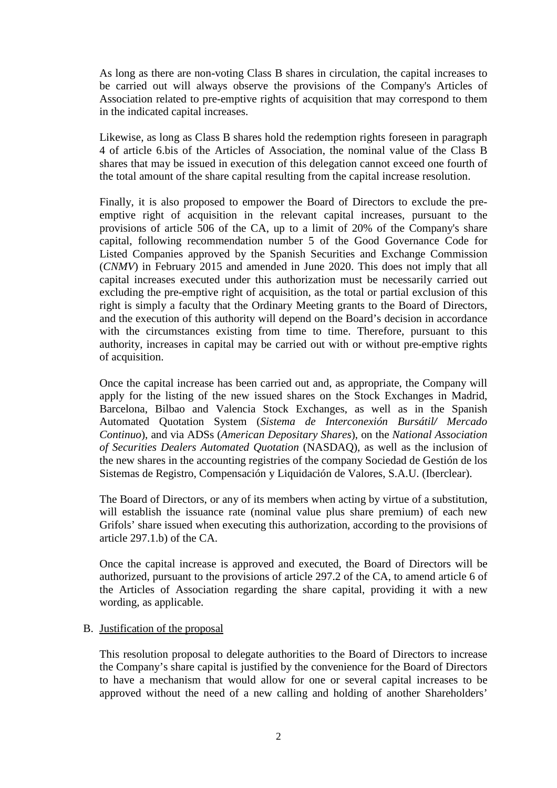As long as there are non-voting Class B shares in circulation, the capital increases to be carried out will always observe the provisions of the Company's Articles of Association related to pre-emptive rights of acquisition that may correspond to them in the indicated capital increases.

Likewise, as long as Class B shares hold the redemption rights foreseen in paragraph 4 of article 6.bis of the Articles of Association, the nominal value of the Class B shares that may be issued in execution of this delegation cannot exceed one fourth of the total amount of the share capital resulting from the capital increase resolution.

Finally, it is also proposed to empower the Board of Directors to exclude the preemptive right of acquisition in the relevant capital increases, pursuant to the provisions of article 506 of the CA, up to a limit of 20% of the Company's share capital, following recommendation number 5 of the Good Governance Code for Listed Companies approved by the Spanish Securities and Exchange Commission (*CNMV*) in February 2015 and amended in June 2020. This does not imply that all capital increases executed under this authorization must be necessarily carried out excluding the pre-emptive right of acquisition, as the total or partial exclusion of this right is simply a faculty that the Ordinary Meeting grants to the Board of Directors, and the execution of this authority will depend on the Board's decision in accordance with the circumstances existing from time to time. Therefore, pursuant to this authority, increases in capital may be carried out with or without pre-emptive rights of acquisition.

Once the capital increase has been carried out and, as appropriate, the Company will apply for the listing of the new issued shares on the Stock Exchanges in Madrid, Barcelona, Bilbao and Valencia Stock Exchanges, as well as in the Spanish Automated Quotation System (*Sistema de Interconexión Bursátil/ Mercado Continuo*), and via ADSs (*American Depositary Shares*), on the *National Association of Securities Dealers Automated Quotation* (NASDAQ), as well as the inclusion of the new shares in the accounting registries of the company Sociedad de Gestión de los Sistemas de Registro, Compensación y Liquidación de Valores, S.A.U. (Iberclear).

The Board of Directors, or any of its members when acting by virtue of a substitution, will establish the issuance rate (nominal value plus share premium) of each new Grifols' share issued when executing this authorization, according to the provisions of article 297.1.b) of the CA.

Once the capital increase is approved and executed, the Board of Directors will be authorized, pursuant to the provisions of article 297.2 of the CA, to amend article 6 of the Articles of Association regarding the share capital, providing it with a new wording, as applicable.

### B. Justification of the proposal

This resolution proposal to delegate authorities to the Board of Directors to increase the Company's share capital is justified by the convenience for the Board of Directors to have a mechanism that would allow for one or several capital increases to be approved without the need of a new calling and holding of another Shareholders'